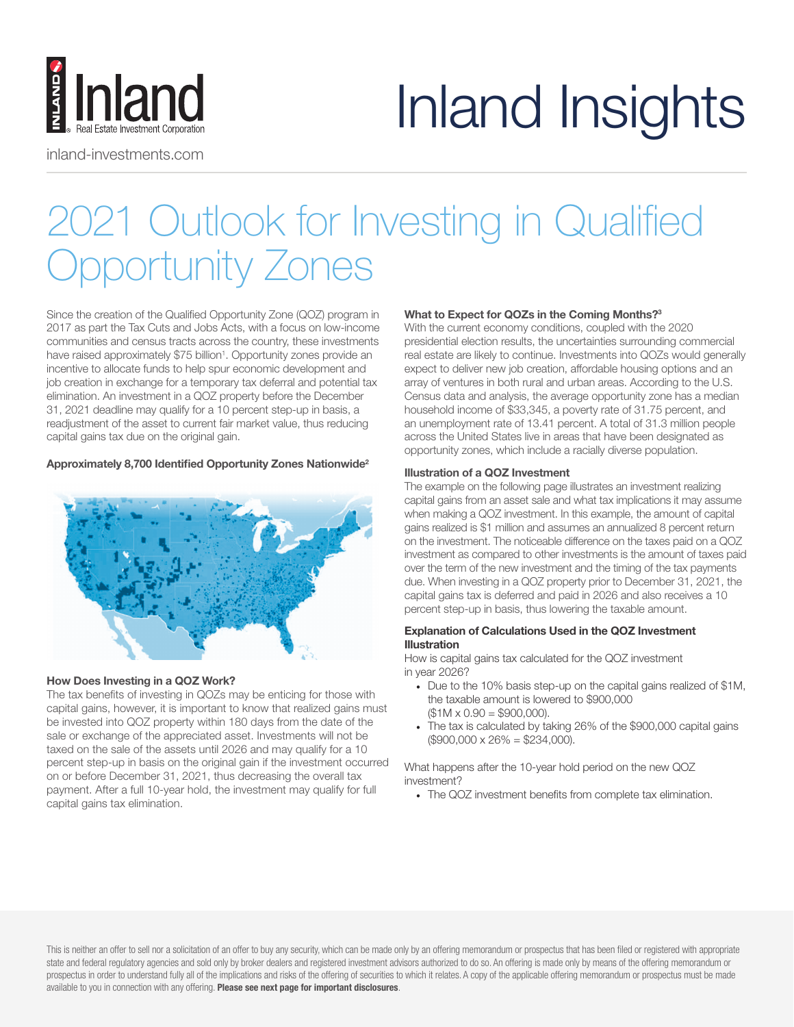

inland-investments.com

# Inland Insights

# 2021 Outlook for Investing in Qualified Opportunity Zones

Since the creation of the Qualified Opportunity Zone (QOZ) program in 2017 as part the Tax Cuts and Jobs Acts, with a focus on low-income communities and census tracts across the country, these investments have raised approximately \$75 billion<sup>1</sup>. Opportunity zones provide an incentive to allocate funds to help spur economic development and job creation in exchange for a temporary tax deferral and potential tax elimination. An investment in a QOZ property before the December 31, 2021 deadline may qualify for a 10 percent step-up in basis, a readjustment of the asset to current fair market value, thus reducing capital gains tax due on the original gain.

# Approximately 8,700 Identified Opportunity Zones Nationwide2



# How Does Investing in a QOZ Work?

The tax benefits of investing in QOZs may be enticing for those with capital gains, however, it is important to know that realized gains must be invested into QOZ property within 180 days from the date of the sale or exchange of the appreciated asset. Investments will not be taxed on the sale of the assets until 2026 and may qualify for a 10 percent step-up in basis on the original gain if the investment occurred on or before December 31, 2021, thus decreasing the overall tax payment. After a full 10-year hold, the investment may qualify for full capital gains tax elimination.

# What to Expect for QOZs in the Coming Months?<sup>3</sup>

With the current economy conditions, coupled with the 2020 presidential election results, the uncertainties surrounding commercial real estate are likely to continue. Investments into QOZs would generally expect to deliver new job creation, affordable housing options and an array of ventures in both rural and urban areas. According to the U.S. Census data and analysis, the average opportunity zone has a median household income of \$33,345, a poverty rate of 31.75 percent, and an unemployment rate of 13.41 percent. A total of 31.3 million people across the United States live in areas that have been designated as opportunity zones, which include a racially diverse population.

#### Illustration of a QOZ Investment

The example on the following page illustrates an investment realizing capital gains from an asset sale and what tax implications it may assume when making a QOZ investment. In this example, the amount of capital gains realized is \$1 million and assumes an annualized 8 percent return on the investment. The noticeable difference on the taxes paid on a QOZ investment as compared to other investments is the amount of taxes paid over the term of the new investment and the timing of the tax payments due. When investing in a QOZ property prior to December 31, 2021, the capital gains tax is deferred and paid in 2026 and also receives a 10 percent step-up in basis, thus lowering the taxable amount.

# Explanation of Calculations Used in the QOZ Investment Illustration

How is capital gains tax calculated for the QOZ investment in year 2026?

- Due to the 10% basis step-up on the capital gains realized of \$1M, the taxable amount is lowered to \$900,000  $($1M \times 0.90 = $900,000).$
- The tax is calculated by taking 26% of the \$900,000 capital gains  $($900,000 \times 26\% = $234,000).$

What happens after the 10-year hold period on the new QOZ investment?

• The QOZ investment benefits from complete tax elimination.

This is neither an offer to sell nor a solicitation of an offer to buy any security, which can be made only by an offering memorandum or prospectus that has been filed or registered with appropriate state and federal regulatory agencies and sold only by broker dealers and registered investment advisors authorized to do so. An offering is made only by means of the offering memorandum or prospectus in order to understand fully all of the implications and risks of the offering of securities to which it relates. A copy of the applicable offering memorandum or prospectus must be made available to you in connection with any offering. Please see next page for important disclosures.